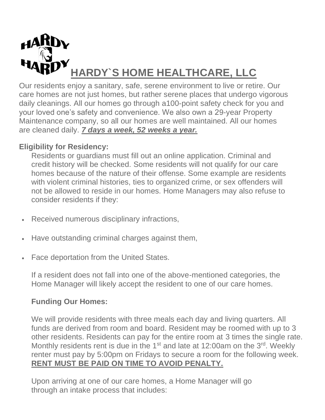

Our residents enjoy a sanitary, safe, serene environment to live or retire. Our care homes are not just homes, but rather serene places that undergo vigorous daily cleanings. All our homes go through a100-point safety check for you and your loved one's safety and convenience. We also own a 29-year Property Maintenance company, so all our homes are well maintained. All our homes are cleaned daily. *7 days a week, 52 weeks a year.* 

# **Eligibility for Residency:**

Residents or guardians must fill out an online application. Criminal and credit history will be checked. Some residents will not qualify for our care homes because of the nature of their offense. Some example are residents with violent criminal histories, ties to organized crime, or sex offenders will not be allowed to reside in our homes. Home Managers may also refuse to consider residents if they:

- Received numerous disciplinary infractions,
- Have outstanding criminal charges against them,
- Face deportation from the United States.

If a resident does not fall into one of the above-mentioned categories, the Home Manager will likely accept the resident to one of our care homes.

## **Funding Our Homes:**

We will provide residents with three meals each day and living quarters. All funds are derived from room and board. Resident may be roomed with up to 3 other residents. Residents can pay for the entire room at 3 times the single rate. Monthly residents rent is due in the  $1<sup>st</sup>$  and late at 12:00am on the  $3<sup>rd</sup>$ . Weekly renter must pay by 5:00pm on Fridays to secure a room for the following week. **RENT MUST BE PAID ON TIME TO AVOID PENALTY.** 

Upon arriving at one of our care homes, a Home Manager will go through an intake process that includes: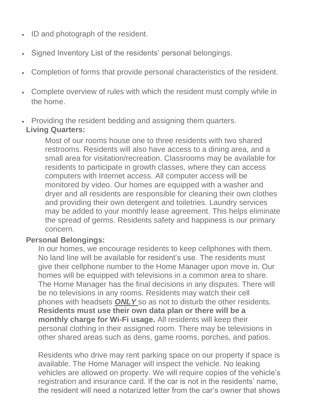- ID and photograph of the resident.
- Signed Inventory List of the residents' personal belongings.
- Completion of forms that provide personal characteristics of the resident.
- Complete overview of rules with which the resident must comply while in the home.
- Providing the resident bedding and assigning them quarters.

### **Living Quarters:**

Most of our rooms house one to three residents with two shared restrooms. Residents will also have access to a dining area, and a small area for visitation/recreation. Classrooms may be available for residents to participate in growth classes, where they can access computers with Internet access. All computer access will be monitored by video. Our homes are equipped with a washer and dryer and all residents are responsible for cleaning their own clothes and providing their own detergent and toiletries. Laundry services may be added to your monthly lease agreement. This helps eliminate the spread of germs. Residents safety and happiness is our primary concern.

## **Personal Belongings:**

In our homes, we encourage residents to keep cellphones with them. No land line will be available for resident's use. The residents must give their cellphone number to the Home Manager upon move in. Our homes will be equipped with televisions in a common area to share. The Home Manager has the final decisions in any disputes. There will be no televisions in any rooms. Residents may watch their cell phones with headsets *ONLY* so as not to disturb the other residents. **Residents must use their own data plan or there will be a monthly charge for Wi-Fi usage.** All residents will keep their personal clothing in their assigned room. There may be televisions in other shared areas such as dens, game rooms, porches, and patios.

Residents who drive may rent parking space on our property if space is available. The Home Manager will inspect the vehicle. No leaking vehicles are allowed on property. We will require copies of the vehicle's registration and insurance card. If the car is not in the residents' name, the resident will need a notarized letter from the car's owner that shows